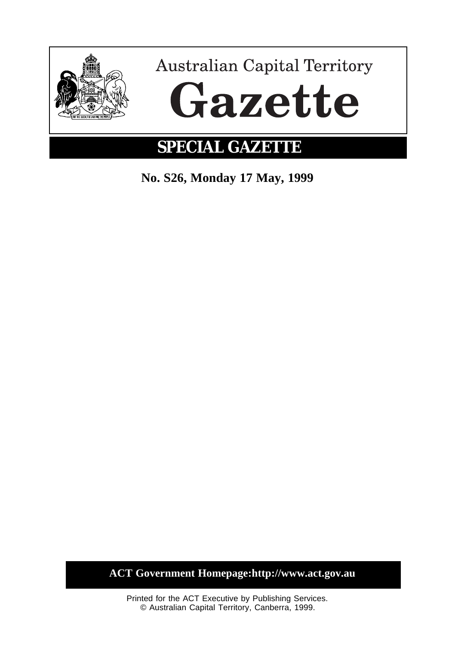

**No. S26, Monday 17 May, 1999**

**ACT Government Homepage:http://www.act.gov.au**

Printed for the ACT Executive by Publishing Services. © Australian Capital Territory, Canberra, 1999.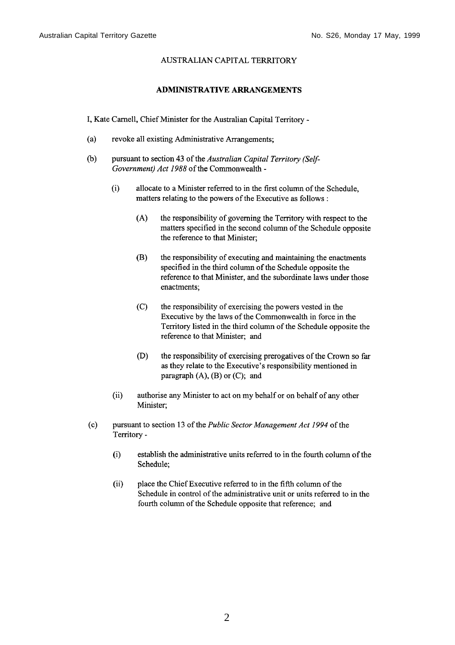## **AUSTRALIAN CAPITAL TERRITORY**

## **ADMINISTRATIVE ARRANGEMENTS**

I, Kate Carnell, Chief Minister for the Australian Capital Territory -

- $(a)$ revoke all existing Administrative Arrangements;
- $(b)$ pursuant to section 43 of the Australian Capital Territory (Self-Government) Act 1988 of the Commonwealth -
	- $(i)$ allocate to a Minister referred to in the first column of the Schedule. matters relating to the powers of the Executive as follows:
		- $(A)$ the responsibility of governing the Territory with respect to the matters specified in the second column of the Schedule opposite the reference to that Minister;
		- $(B)$ the responsibility of executing and maintaining the enactments specified in the third column of the Schedule opposite the reference to that Minister, and the subordinate laws under those enactments:
		- $(C)$ the responsibility of exercising the powers vested in the Executive by the laws of the Commonwealth in force in the Territory listed in the third column of the Schedule opposite the reference to that Minister; and
		- $(D)$ the responsibility of exercising prerogatives of the Crown so far as they relate to the Executive's responsibility mentioned in paragraph  $(A)$ ,  $(B)$  or  $(C)$ ; and
	- $(ii)$ authorise any Minister to act on my behalf or on behalf of any other Minister:
- $(c)$ pursuant to section 13 of the Public Sector Management Act 1994 of the Territory
	- establish the administrative units referred to in the fourth column of the  $(i)$ Schedule:
	- $(ii)$ place the Chief Executive referred to in the fifth column of the Schedule in control of the administrative unit or units referred to in the fourth column of the Schedule opposite that reference; and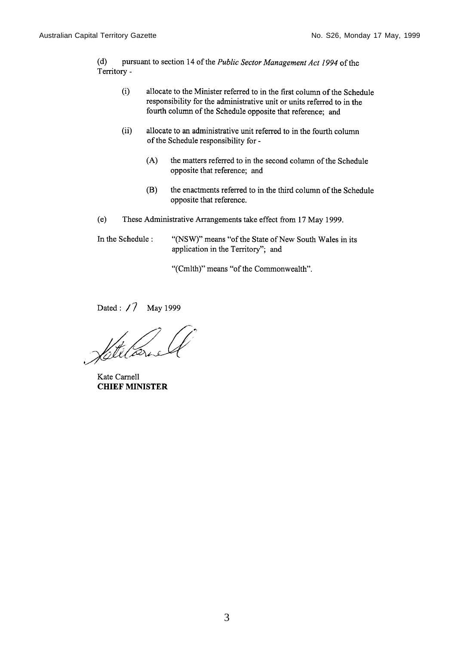$(d)$ pursuant to section 14 of the Public Sector Management Act 1994 of the Territory -

- allocate to the Minister referred to in the first column of the Schedule  $(i)$ responsibility for the administrative unit or units referred to in the fourth column of the Schedule opposite that reference; and
- $(ii)$ allocate to an administrative unit referred to in the fourth column of the Schedule responsibility for -
	- $(A)$ the matters referred to in the second column of the Schedule opposite that reference; and
	- $(B)$ the enactments referred to in the third column of the Schedule opposite that reference.
- $(e)$ These Administrative Arrangements take effect from 17 May 1999.

In the Schedule: "(NSW)" means "of the State of New South Wales in its application in the Territory"; and

"(Cmlth)" means "of the Commonwealth".

Dated: / 7 May 1999

Vitilarie

Kate Carnell **CHIEF MINISTER**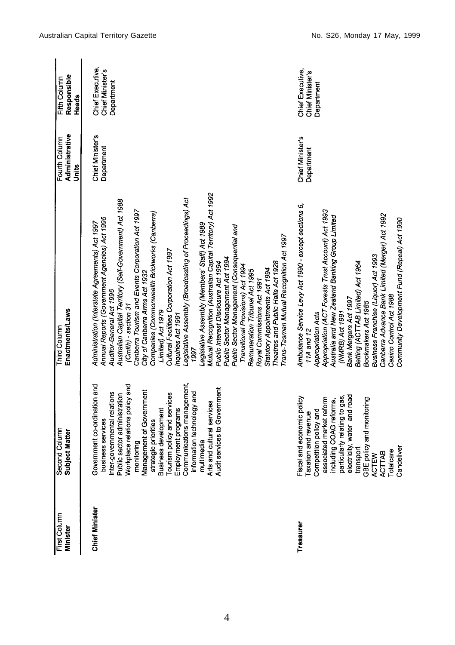| First Column<br>Minister | Second Column<br>Subject Matter                                                                                                                                                                                                                                      | Enactments/Laws<br>Third Column                                                                                                                                                                                                                                                                                                                                                                                                                                                                                                                                                                                                                                                                                                                                                                                                                                                                                                                                                      | Administrative<br>Fourth Column<br>Units | Responsible<br>Fifth Column<br>Heads               |
|--------------------------|----------------------------------------------------------------------------------------------------------------------------------------------------------------------------------------------------------------------------------------------------------------------|--------------------------------------------------------------------------------------------------------------------------------------------------------------------------------------------------------------------------------------------------------------------------------------------------------------------------------------------------------------------------------------------------------------------------------------------------------------------------------------------------------------------------------------------------------------------------------------------------------------------------------------------------------------------------------------------------------------------------------------------------------------------------------------------------------------------------------------------------------------------------------------------------------------------------------------------------------------------------------------|------------------------------------------|----------------------------------------------------|
| Chief Minister           | Government co-ordination and<br>business services<br>Inter-governmental relations<br>Public sector administration<br>Workplace relations policy and<br>Management of Government<br>strategic priorities<br>strategic priorities<br>Tourism policy and                | Mutual Recognition (Australian Capital Territory) Act 1992<br>Legislative Assembly (Broadcasting of Proceedings) Act<br>Australian Capital Territory (Self-Government) Act 1988<br>Canberra Tourism and Events Corporation Act 1997<br>Companies (Commonwealth Brickworks (Canberra)<br>Annual Reports (Government Agencies) Act 1995<br>Administration (Interstate Agreements) Act 1997<br>Legislative Assembly (Members' Staff) Act 1989<br>Public Sector Management (Consequential and<br>Trans-Tasman Mutual Recognition Act 1997<br>Cultural Facilities Corporation Act 1997<br>Public Sector Management Act 1994<br>Theatres and Public Halls Act 1928<br>Public Interest Disclosure Act 1994<br>Transitional Provisions) Act 1994<br>Statutory Appointments Act 1994<br>Remuneration Tribunal Act 1995<br>City of Canberra Arms Act 1932<br>Royal Commissions Act 1991<br>Auditor-General Act 1996<br>(Cmlth) - section 31<br>Limited) Act 1979<br>Inquiries Act 1991<br>1997 | Chief Minister's<br>Department           | Chief Executive,<br>Chief Minister's<br>Department |
| Treasurer                | Fiscal and economic policy<br>Taxation and revenue<br>Competition policy and<br>associated market reform<br>including COAG reforms,<br>particularly relating to gas,<br>particularly relating to gas,<br>transcript, water and road<br>configure ACTEW<br>Candeliver | Ambulance Service Levy Act 1990 - except sections 6,<br>Appropriation (ACT Forests Trust Account) Act 1993<br>Canberra Advance Bank Limited (Merger) Act 1992<br>Australia and New Zealand Banking Group Limited<br>Community Development Fund (Repeal) Act 1990<br>Business Franchise (Liquor) Act 1993<br>Betting (ACTTAB Limited) Act 1964<br>Casino Control Act 1988<br>Bank Mergers Act 1997<br>Bookmakers Act 1985<br>(NMRB) Act 1991<br>Appropriation Acts<br>11A and 12                                                                                                                                                                                                                                                                                                                                                                                                                                                                                                      | Chief Minister's<br>Department           | Chief Executive,<br>Chief Minister's<br>Department |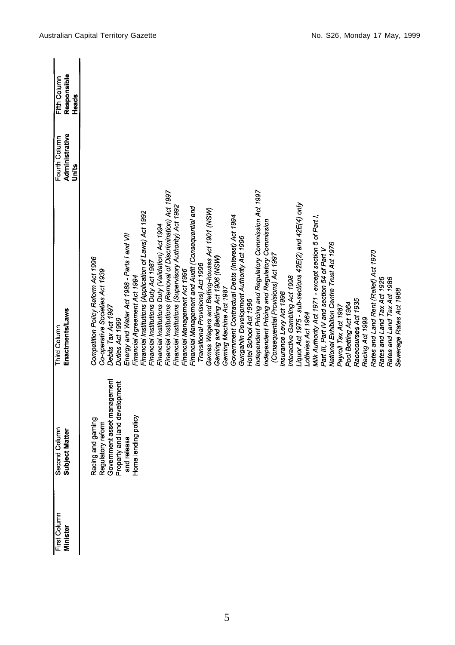| Racing and gaming<br>Regulatory reform<br>Government asset management<br>Property and land development<br>and release<br>Home lending policy<br>Minister | First Column | Second Column<br>Subject Matter | Third Column                                                | Fourth Column           | Fifth Column         |
|----------------------------------------------------------------------------------------------------------------------------------------------------------|--------------|---------------------------------|-------------------------------------------------------------|-------------------------|----------------------|
|                                                                                                                                                          |              |                                 | Enactments/Laws                                             | Administrative<br>Units | Responsible<br>Heads |
|                                                                                                                                                          |              |                                 | Competition Policy Reform Act 1996                          |                         |                      |
|                                                                                                                                                          |              |                                 | Co-operative Societies Act 1939                             |                         |                      |
|                                                                                                                                                          |              |                                 | Debits Tax Act 1997                                         |                         |                      |
|                                                                                                                                                          |              |                                 | Duties Act 1999                                             |                         |                      |
|                                                                                                                                                          |              |                                 | Energy and Water Act 1988 - Parts I and VII                 |                         |                      |
|                                                                                                                                                          |              |                                 | Financial Agreement Act 1994                                |                         |                      |
|                                                                                                                                                          |              |                                 | Financial Institutions (Application of Laws) Act 1992       |                         |                      |
|                                                                                                                                                          |              |                                 | Financial Institutions Duty Act 1987                        |                         |                      |
|                                                                                                                                                          |              |                                 | Financial Institutions Duty (Validation) Act 1994           |                         |                      |
|                                                                                                                                                          |              |                                 | Financial Institutions (Removal of Discrimination) Act 1997 |                         |                      |
|                                                                                                                                                          |              |                                 | Financial Institutions (Supervisory Authority) Act 1992     |                         |                      |
|                                                                                                                                                          |              |                                 | Financial Management Act 1996                               |                         |                      |
|                                                                                                                                                          |              |                                 | Financial Management and Audit (Consequential and           |                         |                      |
|                                                                                                                                                          |              |                                 | Transitional Provisions) Act 1996                           |                         |                      |
|                                                                                                                                                          |              |                                 | Games Wagers and Betting-houses Act 1901 (NSW)              |                         |                      |
|                                                                                                                                                          |              |                                 | Gaming and Betting Act 1906 (NSW)                           |                         |                      |
|                                                                                                                                                          |              |                                 | Gaming Machine Act 1987                                     |                         |                      |
|                                                                                                                                                          |              |                                 | Government Contractual Debts (Interest) Act 1994            |                         |                      |
|                                                                                                                                                          |              |                                 | Gungahlin Development Authority Act 1996                    |                         |                      |
|                                                                                                                                                          |              |                                 | Hotel School Act 1996                                       |                         |                      |
|                                                                                                                                                          |              |                                 | Independent Pricing and Regulatory Commission Act 1997      |                         |                      |
|                                                                                                                                                          |              |                                 | Independent Pricing and Regulatory Commission               |                         |                      |
|                                                                                                                                                          |              |                                 | (Consequential Provisions) Act 1997                         |                         |                      |
|                                                                                                                                                          |              |                                 | Insurance Levy Act 1998                                     |                         |                      |
|                                                                                                                                                          |              |                                 | Interactive Gambling Act 1998                               |                         |                      |
|                                                                                                                                                          |              |                                 | Liquor Act 1975 - sub-sections 42E(2) and 42E(4) only       |                         |                      |
|                                                                                                                                                          |              |                                 | Lotteries Act 1964                                          |                         |                      |
|                                                                                                                                                          |              |                                 | Milk Authority Act 1971 - except section 5 of Part I,       |                         |                      |
|                                                                                                                                                          |              |                                 | Part III, Part IV and section 54 of Part V                  |                         |                      |
|                                                                                                                                                          |              |                                 | National Exhibition Centre Trust Act 1976                   |                         |                      |
|                                                                                                                                                          |              |                                 | Payroll Tax Act 1987                                        |                         |                      |
|                                                                                                                                                          |              |                                 | Pool Betting Act 1964                                       |                         |                      |
|                                                                                                                                                          |              |                                 | Racecourses Act 1935                                        |                         |                      |
|                                                                                                                                                          |              |                                 | Racing Act 1999                                             |                         |                      |
|                                                                                                                                                          |              |                                 | Rates and Land Rent (Relief) Act 1970                       |                         |                      |
|                                                                                                                                                          |              |                                 | Rates and Land Tax Act 1926                                 |                         |                      |
|                                                                                                                                                          |              |                                 | Rates and Land Tax Act 1986                                 |                         |                      |
|                                                                                                                                                          |              |                                 | Sewerage Rates Act 1968                                     |                         |                      |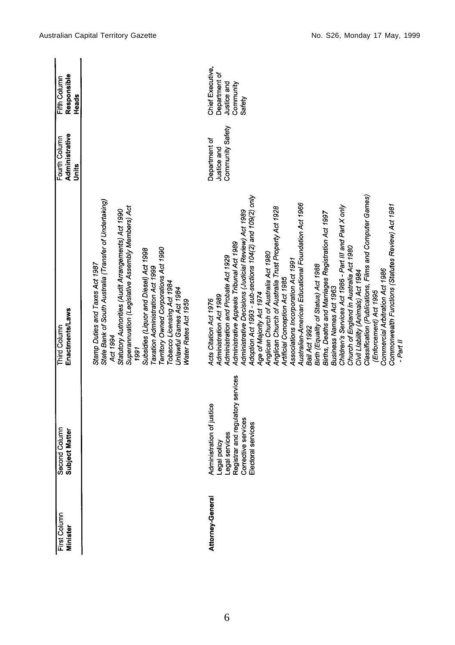| First Column<br>Minister | Second Column<br>Subject Matter                                                                                                               | Enactments/Laws<br>Third Column                                                                                                                                                                                                                                                                                                                                                                                                                                                                                                                                                                                                                                                                                                                                                                                                                                                                                                                                                                      | Administrative<br>Fourth Column<br>Units         | Responsible<br>Fifth Column<br>Heads                                    |
|--------------------------|-----------------------------------------------------------------------------------------------------------------------------------------------|------------------------------------------------------------------------------------------------------------------------------------------------------------------------------------------------------------------------------------------------------------------------------------------------------------------------------------------------------------------------------------------------------------------------------------------------------------------------------------------------------------------------------------------------------------------------------------------------------------------------------------------------------------------------------------------------------------------------------------------------------------------------------------------------------------------------------------------------------------------------------------------------------------------------------------------------------------------------------------------------------|--------------------------------------------------|-------------------------------------------------------------------------|
|                          |                                                                                                                                               | State Bank of South Australia (Transfer of Undertaking)<br>Superannuation (Legislative Assembly Members) Act<br>Statutory Authorities (Audit Arrangements) Act 1990<br>Territory Owned Corporations Act 1990<br>Subsidies (Liquor and Diesel) Act 1998<br>Stamp Duties and Taxes Act 1987<br>Taxation Administration Act 1999<br>Tobacco Licensing Act 1984<br>Unlawful Games Act 1984<br>Water Rates Act 1959<br>Act 1994<br>1991                                                                                                                                                                                                                                                                                                                                                                                                                                                                                                                                                                   |                                                  |                                                                         |
| Attorney-General         | Registrar and regulatory services<br>Administration of justice<br>Corrective services<br>Electoral services<br>Legal services<br>Legal policy | Classification (Publications, Films and Computer Games)<br>Adoption Act 1993 - sub-sections 104(2) and 109(2) only<br>Australian-American Educational Foundation Act 1966<br>Commonwealth Functions (Statutes Review) Act 1981<br>Children's Services Act 1986 - Part III and Part X only<br>Anglican Church of Australia Trust Property Act 1928<br>Administrative Decisions (Judicial Review) Act 1989<br>Births, Deaths and Marriages Registration Act 1997<br>Administrative Appeals Tribunal Act 1989<br>Church of England in Australia Act 1980<br>Anglican Church of Australia Act 1980<br>Administration and Probate Act 1929<br>Associations Incorporation Act 1991<br>Birth (Equality of Status) Act 1988<br>Commercial Arbitration Act 1986<br>Civil Liability (Animals) Act 1984<br>Artificial Conception Act 1985<br>Business Names Act 1963<br>(Enforcement) Act 1995<br>Age of Majority Act 1974<br>Administration Act 1989<br>Acts Citation Act 1976<br>Bail Act 1992<br>$-$ Part II | Community Safety<br>Department of<br>Justice and | Chief Executive,<br>Department of<br>Justice and<br>Community<br>Safety |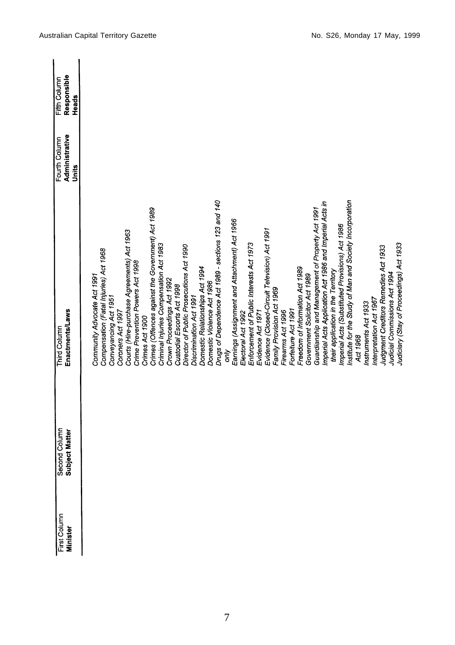| First Column<br>Minister | Second Column<br>Subject Matter | Enactments/Laws<br><b>Third Column</b>                                | Administrative<br>Fourth Column<br>Units | Responsible<br>Fifth Column<br>Heads |
|--------------------------|---------------------------------|-----------------------------------------------------------------------|------------------------------------------|--------------------------------------|
|                          |                                 |                                                                       |                                          |                                      |
|                          |                                 | Community Advocate Act 1991                                           |                                          |                                      |
|                          |                                 | Compensation (Fatal Injuries) Act 1968                                |                                          |                                      |
|                          |                                 | Conveyancing Act 1951                                                 |                                          |                                      |
|                          |                                 | Coroners Act 1997                                                     |                                          |                                      |
|                          |                                 | Courts (Hire-purchase Agreements) Act 1963                            |                                          |                                      |
|                          |                                 | Crime Prevention Powers Act 1998                                      |                                          |                                      |
|                          |                                 | Crimes Act 1900                                                       |                                          |                                      |
|                          |                                 | Crimes (Offences against the Government) Act 1989                     |                                          |                                      |
|                          |                                 | Criminal Injuries Compensation Act 1983<br>Crown Proceedings Act 1992 |                                          |                                      |
|                          |                                 | Custodial Escorts Act 1998                                            |                                          |                                      |
|                          |                                 | Director of Public Prosecutions Act 1990                              |                                          |                                      |
|                          |                                 | Discrimination Act 1991                                               |                                          |                                      |
|                          |                                 | Domestic Relationships Act 1994                                       |                                          |                                      |
|                          |                                 | Domestic Violence Act 1986                                            |                                          |                                      |
|                          |                                 | Drugs of Dependence Act 1989 - sections 123 and 140                   |                                          |                                      |
|                          |                                 | duo                                                                   |                                          |                                      |
|                          |                                 | Earnings (Assignment and Attachment) Act 1966                         |                                          |                                      |
|                          |                                 | Electoral Act 1992                                                    |                                          |                                      |
|                          |                                 | Enforcement of Public Interests Act 1973                              |                                          |                                      |
|                          |                                 | Evidence Act 1971                                                     |                                          |                                      |
|                          |                                 | Evidence (Closed-Circuit Television) Act 1991                         |                                          |                                      |
|                          |                                 | Family Provision Act 1969                                             |                                          |                                      |
|                          |                                 | Firearms Act 1996                                                     |                                          |                                      |
|                          |                                 | Forfeiture Act 1991                                                   |                                          |                                      |
|                          |                                 | Freedom of Information Act 1989                                       |                                          |                                      |
|                          |                                 | Government Solicitor Act 1989                                         |                                          |                                      |
|                          |                                 | Guardianship and Management of Property Act 1991                      |                                          |                                      |
|                          |                                 | Imperial Acts Application Act 1986 and Imperial Acts in               |                                          |                                      |
|                          |                                 | their application in the Territory                                    |                                          |                                      |
|                          |                                 | Imperial Acts (Substituted Provisions) Act 1986                       |                                          |                                      |
|                          |                                 | Institute for the Study of Man and Society Incorporation              |                                          |                                      |
|                          |                                 | Act 1968                                                              |                                          |                                      |
|                          |                                 | Instruments Act 1933                                                  |                                          |                                      |
|                          |                                 | Interpretation Act 1967                                               |                                          |                                      |
|                          |                                 | Judgment Creditors Remedies Act 1933                                  |                                          |                                      |
|                          |                                 | Judicial Commissions Act 1994                                         |                                          |                                      |
|                          |                                 | Judiciary (Stay of Proceedings) Act 1933                              |                                          |                                      |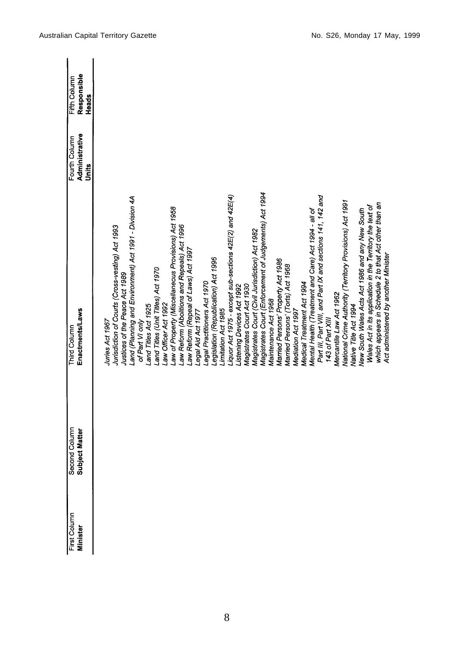| First Column<br>Minister | Second Column<br>Subject Matter | Enactments/Laws<br>Third Column                                                | Administrative<br>Fourth Column<br>Units | Responsible<br>Fifth Column<br>Heads |
|--------------------------|---------------------------------|--------------------------------------------------------------------------------|------------------------------------------|--------------------------------------|
|                          |                                 | Jurisdiction of Courts (Cross-vesting) Act 1993<br>Juries Act 1967             |                                          |                                      |
|                          |                                 | Justices of the Peace Act 1989                                                 |                                          |                                      |
|                          |                                 | Land (Planning and Environment) Act 1991 - Division 4A<br>of Part VI only      |                                          |                                      |
|                          |                                 | and Titles Act 1925                                                            |                                          |                                      |
|                          |                                 | Land Titles (Unit Titles) Act 1970<br>aw Officer Act 1992                      |                                          |                                      |
|                          |                                 | aw of Property (Miscellaneous Provisions) Act 1958                             |                                          |                                      |
|                          |                                 | aw Reform (Abolitions and Repeals) Act 1996                                    |                                          |                                      |
|                          |                                 | aw Reform (Repeal of Laws) Act 1997.<br>egal Aid Act 1977                      |                                          |                                      |
|                          |                                 | egal Practitioners Act 1970                                                    |                                          |                                      |
|                          |                                 | Legislation (Republication) Act 1996                                           |                                          |                                      |
|                          |                                 | Imitation Act 1985                                                             |                                          |                                      |
|                          |                                 | lquor Act 1975 - except sub-sections 42E(2) and 42E(4)                         |                                          |                                      |
|                          |                                 | Magistrates Court Act 1930<br>istening Devices Act 1992                        |                                          |                                      |
|                          |                                 | Magistrates Court (Civil Jurisdiction) Act 1982                                |                                          |                                      |
|                          |                                 | Magistrates Court (Enforcement of Judgements) Act 1994                         |                                          |                                      |
|                          |                                 | Maintenance Act 1968                                                           |                                          |                                      |
|                          |                                 | Married Persons' Property Act 1986                                             |                                          |                                      |
|                          |                                 | Married Persons' (Torts) Act 1968                                              |                                          |                                      |
|                          |                                 | Mediation Act 1997                                                             |                                          |                                      |
|                          |                                 | Medical Treatment Act 1994                                                     |                                          |                                      |
|                          |                                 | Mental Health (Treatment and Care) Act 1994 - all of                           |                                          |                                      |
|                          |                                 | Part III, Part VIII, and Part IX and sections 141, 142 and<br>143 of Part XIII |                                          |                                      |
|                          |                                 | Mercantile Law Act 1962                                                        |                                          |                                      |
|                          |                                 | National Crime Authority (Territory Provisions) Act 1991                       |                                          |                                      |
|                          |                                 | Native Title Act 1994                                                          |                                          |                                      |
|                          |                                 | New South Wales Acts Act 1986 and any New South                                |                                          |                                      |
|                          |                                 | Wales Act in its application in the Territory the text of                      |                                          |                                      |
|                          |                                 | which appears in Schedule 2 to that Act other than an                          |                                          |                                      |
|                          |                                 | Act administered by another Minister                                           |                                          |                                      |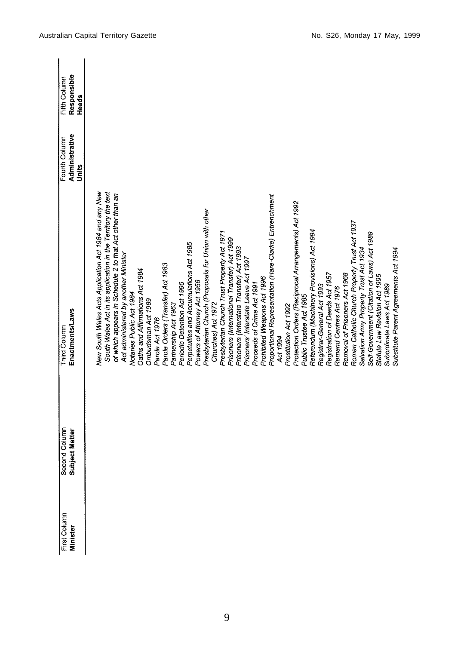| First Column<br><b>Minister</b> | Second Column<br>Subject Matter | Enactments/Laws<br><b>Third Column</b>                                                                                | Administrative<br>Fourth Column<br>Units | Responsible<br>Fifth Column<br>Heads |
|---------------------------------|---------------------------------|-----------------------------------------------------------------------------------------------------------------------|------------------------------------------|--------------------------------------|
|                                 |                                 | New South Wales Acts Application Act 1984 and any New<br>South Wales Act in its application in the Territory the text |                                          |                                      |
|                                 |                                 | of which appears in Schedule 2 to that Act other than an                                                              |                                          |                                      |
|                                 |                                 | Act administered by another Minister<br>Notaries Public Act 1984                                                      |                                          |                                      |
|                                 |                                 | Oaths and Affirmations Act 1984                                                                                       |                                          |                                      |
|                                 |                                 | Ombudsman Act 1989                                                                                                    |                                          |                                      |
|                                 |                                 | Parole Orders (Transfer) Act 1983<br>Parole Act 1976                                                                  |                                          |                                      |
|                                 |                                 | Partnership Act 1963                                                                                                  |                                          |                                      |
|                                 |                                 | Periodic Detention Act 1995                                                                                           |                                          |                                      |
|                                 |                                 | Perpetuities and Accumulations Act 1985                                                                               |                                          |                                      |
|                                 |                                 | Powers of Attorney Act 1956                                                                                           |                                          |                                      |
|                                 |                                 | Presbyterian Church (Proposals for Union with other                                                                   |                                          |                                      |
|                                 |                                 | Churches) Act 1972                                                                                                    |                                          |                                      |
|                                 |                                 | Presbyterian Church Trust Property Act 1971                                                                           |                                          |                                      |
|                                 |                                 | Prisoners (International Transfer) Act 1999<br>Prisoners (Interstate Transfer) Act 1993                               |                                          |                                      |
|                                 |                                 | Prisoners' Interstate Leave Act 1997                                                                                  |                                          |                                      |
|                                 |                                 | Proceeds of Crime Act 1991                                                                                            |                                          |                                      |
|                                 |                                 | Prohibited Weapons Act 1996                                                                                           |                                          |                                      |
|                                 |                                 | Proportional Representation (Hare-Clarke) Entrenchment                                                                |                                          |                                      |
|                                 |                                 | Act 1994                                                                                                              |                                          |                                      |
|                                 |                                 | Prostitution Act 1992                                                                                                 |                                          |                                      |
|                                 |                                 | Protection Orders (Reciprocal Arrangements) Act 1992                                                                  |                                          |                                      |
|                                 |                                 | Referendum (Machinery Provisions) Act 1994<br>Public Trustee Act 1985                                                 |                                          |                                      |
|                                 |                                 | Registrar-General Act 1993                                                                                            |                                          |                                      |
|                                 |                                 | Registration of Deeds Act 1957                                                                                        |                                          |                                      |
|                                 |                                 | Remand Centres Act 1976                                                                                               |                                          |                                      |
|                                 |                                 | Removal of Prisoners Act 1968                                                                                         |                                          |                                      |
|                                 |                                 | Roman Catholic Church Property Trust Act 1937                                                                         |                                          |                                      |
|                                 |                                 | Salvation Army Property Trust Act 1934                                                                                |                                          |                                      |
|                                 |                                 | Self-Government (Citation of Laws) Act 1989                                                                           |                                          |                                      |
|                                 |                                 | Statute Law Revision Act 1995                                                                                         |                                          |                                      |
|                                 |                                 | Subordinate Laws Act 1989                                                                                             |                                          |                                      |
|                                 |                                 | Substitute Parent Agreements Act 1994                                                                                 |                                          |                                      |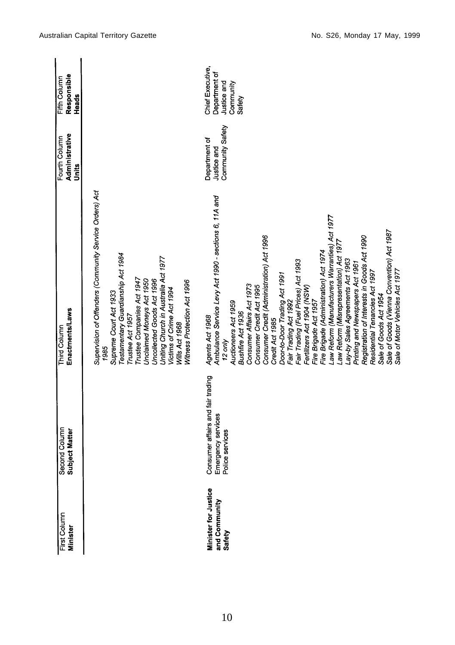| First Column<br>Minister                        | Second Column<br>Subject Matter                                            | Enactments/Laws<br><b>Third Column</b>                                                                                                                                                                                                                                                                                                                                                                                                                                                                                                                                                                                                                                                                                                                                                                                         | Administrative<br>Fourth Column<br>Units         | Responsible<br>Fifth Column<br>Heads                                    |
|-------------------------------------------------|----------------------------------------------------------------------------|--------------------------------------------------------------------------------------------------------------------------------------------------------------------------------------------------------------------------------------------------------------------------------------------------------------------------------------------------------------------------------------------------------------------------------------------------------------------------------------------------------------------------------------------------------------------------------------------------------------------------------------------------------------------------------------------------------------------------------------------------------------------------------------------------------------------------------|--------------------------------------------------|-------------------------------------------------------------------------|
|                                                 |                                                                            | Supervision of Offenders (Community Service Orders) Act<br>Testamentary Guardianship Act 1984<br>Uniting Church in Australia Act 1977<br>Trustee Companies Act 1947<br>Unclaimed Moneys Act 1950<br>Uncollected Goods Act 1996<br>Witness Protection Act 1996<br>Victims of Crime Act 1994<br>Supreme Court Act 1933<br>Trustee Act 1957<br>Wills Act 1968<br>1985                                                                                                                                                                                                                                                                                                                                                                                                                                                             |                                                  |                                                                         |
| Minister for Justice<br>and Community<br>Safety | Consumer affairs and fair trading<br>Emergency services<br>Police services | Ambulance Service Levy Act 1990 - sections 6, 11A and<br>Law Reform (Manufacturers Warranties) Act 1977<br>Sale of Goods (Vienna Convention) Act 1987<br>Consumer Credit (Administration) Act 1996<br>Registration of Interests in Goods Act 1990<br>Law Reform (Misrepresentation) Act 1977<br>Fire Brigade (Administration) Act 1974<br>Lay-by Sales Agreements Act 1963<br>Fair Trading (Fuel Prices) Act 1993<br>Printing and Newspapers Act 1961<br>Residential Tenancies Act 1997<br>Sale of Motor Vehicles Act 1977<br>Door-to-Door Trading Act 1991<br>Consumer Affairs Act 1973<br>Consumer Credit Act 1995<br>Fertilizers Act 1904 (NSW)<br>Sale of Goods Act 1954<br>Fire Brigade Act 1957<br>Fair Trading Act 1992<br>Auctioneers Act 1959<br>Bushfire Act 1936<br>Agents Act 1968<br>Credit Act 1985<br>$12$ only | Community Safety<br>Department of<br>Justice and | Chief Executive,<br>Department of<br>Justice and<br>Community<br>Safety |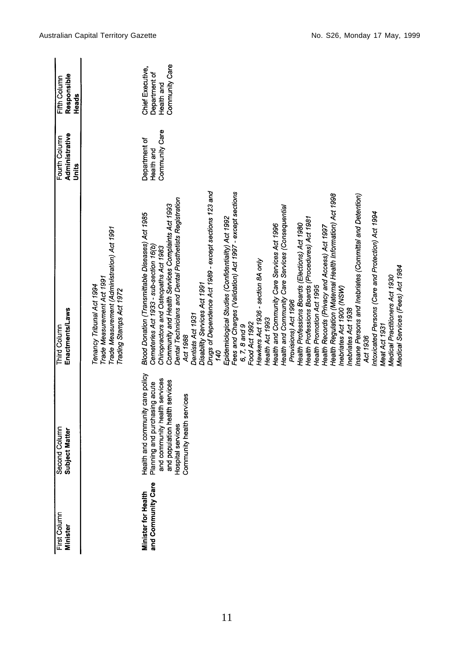| First Column<br>Minister                         | Second Column<br>Subject Matter                                                                                                                                                                                        | Enactments/Laws<br>Third Column                                                                                                                                                                                                                                                                                                                                                                                                                                                                                                                                                                                                                                                                                                                                                                                                                                                                                                                                                                                                                                                                                                                                                                                                                       | Administrative<br>Fourth Column<br>Units      | Responsible<br>Fifth Column<br>Heads                              |
|--------------------------------------------------|------------------------------------------------------------------------------------------------------------------------------------------------------------------------------------------------------------------------|-------------------------------------------------------------------------------------------------------------------------------------------------------------------------------------------------------------------------------------------------------------------------------------------------------------------------------------------------------------------------------------------------------------------------------------------------------------------------------------------------------------------------------------------------------------------------------------------------------------------------------------------------------------------------------------------------------------------------------------------------------------------------------------------------------------------------------------------------------------------------------------------------------------------------------------------------------------------------------------------------------------------------------------------------------------------------------------------------------------------------------------------------------------------------------------------------------------------------------------------------------|-----------------------------------------------|-------------------------------------------------------------------|
|                                                  |                                                                                                                                                                                                                        | Trade Measurement (Administration) Act 1991<br>Trade Measurement Act 1991<br>Tenancy Tribunal Act 1994<br>Trading Stamps Act 1972                                                                                                                                                                                                                                                                                                                                                                                                                                                                                                                                                                                                                                                                                                                                                                                                                                                                                                                                                                                                                                                                                                                     |                                               |                                                                   |
| and Community Care<br><b>Minister for Health</b> | ith and community care policy<br>and community health services<br>and population health services<br>Health and community care point<br>Planning and purchasing acute<br>Hospital services<br>Community health services | Drugs of Dependence Act 1989 - except sections 123 and<br>Fees and Charges (Validation) Act 1997 - except sections<br>Health Regulation (Maternal Health Information) Act 1998<br>Insane Persons and Inebriates (Committal and Detention)<br>Dental Technicians and Dental Prosthetists Registration<br>Community and Health Services Complaints Act 1993<br>Health and Community Care Services (Consequential<br>Intoxicated Persons (Care and Protection) Act 1994<br>Blood Donation (Transmittable Diseases) Act 1985<br>Epidemiological Studies (Confidentiality) Act 1992<br>Health Professions Boards (Procedures) Act 1981<br>Health Professions Boards (Elections) Act 1980<br>Health and Community Care Services Act 1996<br>Health Records (Privacy and Access) Act 1997<br>Cemeteries Act 1933 - sub-section 16(b)<br>Chiropractors and Osteopaths Act 1983<br>Hawkers Act 1936 - section 8A only<br>Medical Services (Fees) Act 1984<br>Medical Practitioners Act 1930<br>Disability Services Act 1991<br>Health Promotion Act 1995<br>Inebriates Act 1900 (NSW)<br>Provisions) Act 1996<br>Inebriates Act 1938<br>Dentists Act 1931<br>Health Act 1993<br>Food Act 1992<br>6, 7, 8 and 9<br>Meat Act 1931<br>Act 1988<br>Act 1936<br>140 | Community Care<br>Department of<br>Health and | Community Care<br>Chief Executive,<br>Department of<br>Health and |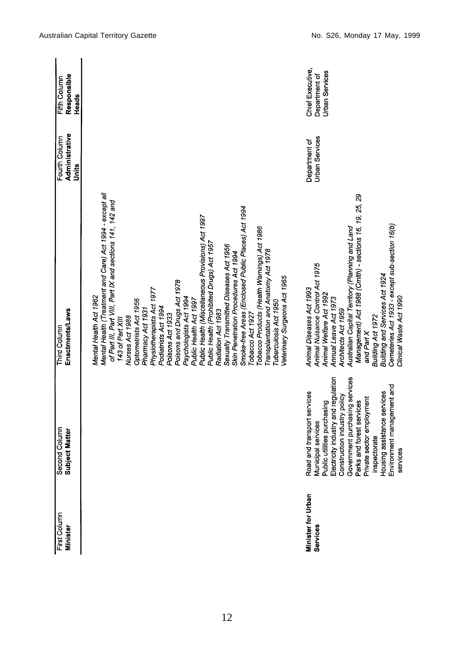| First Column<br>Minister       | Second Column<br><b>Subject Matter</b>                                                                                                                                                                                                                                                                                                       | Enactments/Laws<br>Third Column                                                                                                                                                                                                                                                                                                                                                                                                                                                                                                                                                                                                                                                                                                                                                                                                     | Administrative<br>Fourth Column<br>Units | Responsible<br>Fifth Column<br>Heads                       |
|--------------------------------|----------------------------------------------------------------------------------------------------------------------------------------------------------------------------------------------------------------------------------------------------------------------------------------------------------------------------------------------|-------------------------------------------------------------------------------------------------------------------------------------------------------------------------------------------------------------------------------------------------------------------------------------------------------------------------------------------------------------------------------------------------------------------------------------------------------------------------------------------------------------------------------------------------------------------------------------------------------------------------------------------------------------------------------------------------------------------------------------------------------------------------------------------------------------------------------------|------------------------------------------|------------------------------------------------------------|
|                                |                                                                                                                                                                                                                                                                                                                                              | Mental Health (Treatment and Care) Act 1994 - except all<br>of Part III, Part VIII, Part IX and sections 141, 142 and<br>Smoke-free Areas (Enclosed Public Places) Act 1994<br>Public Health (Miscellaneous Provisions) Act 1997<br>Tobacco Products (Health Warnings) Act 1986<br>Public Health (Prohibited Drugs) Act 1957<br>Sexually Transmitted Diseases Act 1956<br>Transplantation and Anatomy Act 1978<br>Skin Penetration Procedures Act 1994<br>Veterinary Surgeons Act 1965<br>Poisons and Drugs Act 1978<br>Physiotherapists Act 1977<br>Mental Health Act 1962<br>Psychologists Act 1994<br>Optometrists Act 1956<br>Public Health Act 1997<br>Tuberculosis Act 1950<br>Podiatrists Act 1994<br>Pharmacy Act 1931<br>Radiation Act 1983<br>Tobacco Act 1927<br>Poisons Act 1933<br>Nurses Act 1988<br>143 of Part XIII |                                          |                                                            |
| Minister for Urban<br>Services | Government purchasing services<br>Electricity industry and regulation<br>Environment management and<br>Housing assistance services<br>Road and transport services<br>Construction industry policy<br>Parks and forest services<br>Private sector employment<br>Public utilities purchasing<br>Municipal services<br>inspectorate<br>services | Management) Act 1988 (Cmlth) - sections 16, 19, 25, 29<br>Cemeteries Act 1933 - except sub-section 16(b)<br>Australian Capital Territory (Planning and Land<br>Animal Nuisance Control Act 1975<br>Building and Services Act 1924<br>Animal Diseases Act 1993<br>Animal Welfare Act 1992<br>Clinical Waste Act 1990<br>Annual Leave Act 1973<br>Architects Act 1959<br>Building Act 1972<br>and Part X                                                                                                                                                                                                                                                                                                                                                                                                                              | <b>Urban Services</b><br>Department of   | Chief Executive,<br><b>Urban Services</b><br>Department of |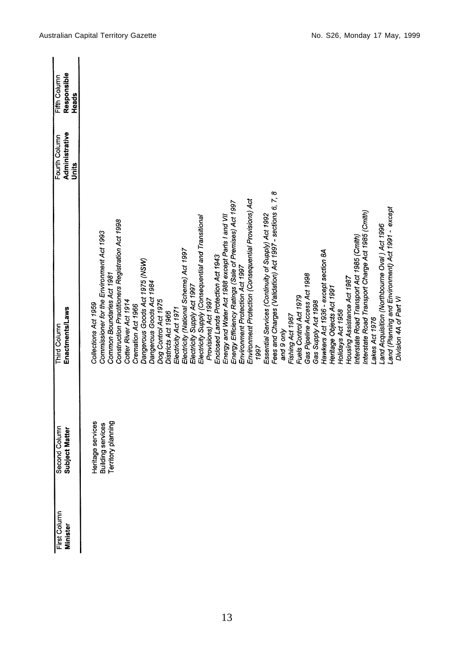| First Column<br>Minister | Second Column<br>Subject Matter                              | Enactments/Laws<br>Third Column                                                                                                                                                                                                                                                | Administrative<br>Fourth Column<br>Units | Responsible<br>Fifth Column<br>Heads |
|--------------------------|--------------------------------------------------------------|--------------------------------------------------------------------------------------------------------------------------------------------------------------------------------------------------------------------------------------------------------------------------------|------------------------------------------|--------------------------------------|
|                          | Heritage services<br>Building services<br>Territory planning | Commissioner for the Environment Act 1993<br>Common Boundaries Act 1981<br>Collections Act 1959                                                                                                                                                                                |                                          |                                      |
|                          |                                                              | Construction Practitioners Registration Act 1998<br>Cotter River Act 1914<br>Cremation Act 1966                                                                                                                                                                                |                                          |                                      |
|                          |                                                              | Dangerous Goods Act 1975 (NSW)<br>Dangerous Goods Act 1984<br>Dog Control Act 1975<br>Districts Act 1966                                                                                                                                                                       |                                          |                                      |
|                          |                                                              | Electricity (National Scheme) Act 1997<br>Electricity Supply Act 1997<br>Electricity Act 1971                                                                                                                                                                                  |                                          |                                      |
|                          |                                                              | Electricity Supply (Consequential and Transitional<br>Provisions) Act 1997                                                                                                                                                                                                     |                                          |                                      |
|                          |                                                              | Energy Efficiency Ratings (Sale of Premises) Act 1997<br>Energy and Water Act 1988 except Parts I and VII<br>Enclosed Lands Protection Act 1943<br>Environment Protection Act 1997                                                                                             |                                          |                                      |
|                          |                                                              | Environment Protection (Consequential Provisions) Act<br>Essential Services (Continuity of Supply) Act 1992<br>1997                                                                                                                                                            |                                          |                                      |
|                          |                                                              | 7, 8<br>Fees and Charges (Validation) Act 1997 - sections 6,<br>Fuels Control Act 1979<br>Fishing Act 1967<br>and 9 only                                                                                                                                                       |                                          |                                      |
|                          |                                                              | Hawkers Act 1936 - except section 8A<br>Gas Pipeline Access Act 1998<br>Heritage Objects Act 1991<br>Gas Supply Act 1998<br>Holidays Act 1958                                                                                                                                  |                                          |                                      |
|                          |                                                              | and (Planning and Environment) Act 1991 - except<br>Interstate Road Transport Charge Act 1985 (Cmlth)<br>Land Acquisition (Northbourne Oval) Act 1996<br>Interstate Road Transport Act 1985 (Cmlth)<br>Housing Assistance Act 1987<br>Division 4A of Part VI<br>Lakes Act 1976 |                                          |                                      |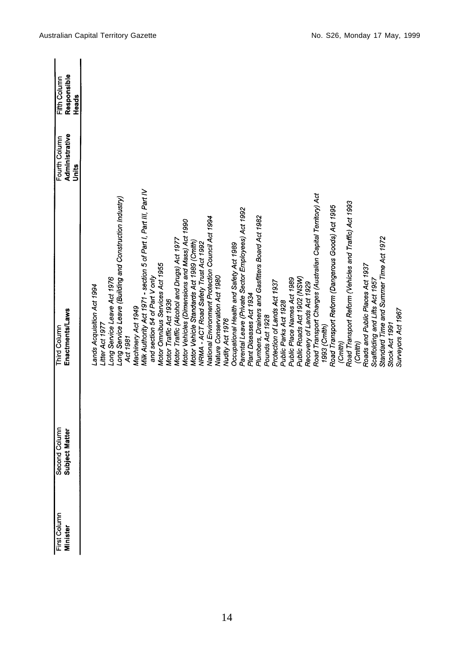| First Column<br>Minister | Second Column<br>Subject Matter | Enactments/Laws<br>Third Column                                     | Administrative<br>Fourth Column | Responsible<br>Fifth Column |
|--------------------------|---------------------------------|---------------------------------------------------------------------|---------------------------------|-----------------------------|
|                          |                                 |                                                                     | Units                           | Heads                       |
|                          |                                 | ands Acquisition Act 1994                                           |                                 |                             |
|                          |                                 | Litter Act 1977                                                     |                                 |                             |
|                          |                                 | Long Service Leave Act 1976                                         |                                 |                             |
|                          |                                 | Long Service Leave (Building and Construction Industry)<br>Act 1981 |                                 |                             |
|                          |                                 | Machinery Act 1949                                                  |                                 |                             |
|                          |                                 | Milk Authority Act 1971 - section 5 of Part I, Part III, Part IV    |                                 |                             |
|                          |                                 | and section 54 of Part V only                                       |                                 |                             |
|                          |                                 | Motor Omnibus Services Act 1955                                     |                                 |                             |
|                          |                                 | Motor Traffic Act 1936                                              |                                 |                             |
|                          |                                 | Motor Traffic (Alcohol and Drugs) Act 1977                          |                                 |                             |
|                          |                                 | Motor Vehicles (Dimensions and Mass) Act 1990                       |                                 |                             |
|                          |                                 | Motor Vehicle Standards Act 1989 (Cmlth)                            |                                 |                             |
|                          |                                 | NRMA - ACT Road Safety Trust Act 1992                               |                                 |                             |
|                          |                                 | National Environment Protection Council Act 1994                    |                                 |                             |
|                          |                                 | Nature Conservation Act 1980                                        |                                 |                             |
|                          |                                 | Nudity Act 1976                                                     |                                 |                             |
|                          |                                 | Occupational Health and Safety Act 1989                             |                                 |                             |
|                          |                                 | Parental Leave (Private Sector Employees) Act 1992                  |                                 |                             |
|                          |                                 | Plant Diseases Act 1934                                             |                                 |                             |
|                          |                                 | Plumbers, Drainers and Gasfitters Board Act 1982                    |                                 |                             |
|                          |                                 | Pounds Act 1928                                                     |                                 |                             |
|                          |                                 | Protection of Lands Act 1937                                        |                                 |                             |
|                          |                                 | Public Parks Act 1928                                               |                                 |                             |
|                          |                                 | Public Place Names Act 1989                                         |                                 |                             |
|                          |                                 | Public Roads Act 1902 (NSW)                                         |                                 |                             |
|                          |                                 | Recovery of Lands Act 1929                                          |                                 |                             |
|                          |                                 | Road Transport Charges (Australian Capital Territory) Act           |                                 |                             |
|                          |                                 | 1993 (Cmith)                                                        |                                 |                             |
|                          |                                 | Road Transport Reform (Dangerous Goods) Act 1995                    |                                 |                             |
|                          |                                 | (Cmlth)                                                             |                                 |                             |
|                          |                                 | Road Transport Reform (Vehicles and Traffic) Act 1993               |                                 |                             |
|                          |                                 | (Cmith)                                                             |                                 |                             |
|                          |                                 | Roads and Public Places Act 1937                                    |                                 |                             |
|                          |                                 | Scaffolding and Lifts Act 1957                                      |                                 |                             |
|                          |                                 | Standard Time and Summer Time Act 1972                              |                                 |                             |
|                          |                                 | Stock Act 1991                                                      |                                 |                             |
|                          |                                 | Surveyors Act 1967                                                  |                                 |                             |
|                          |                                 |                                                                     |                                 |                             |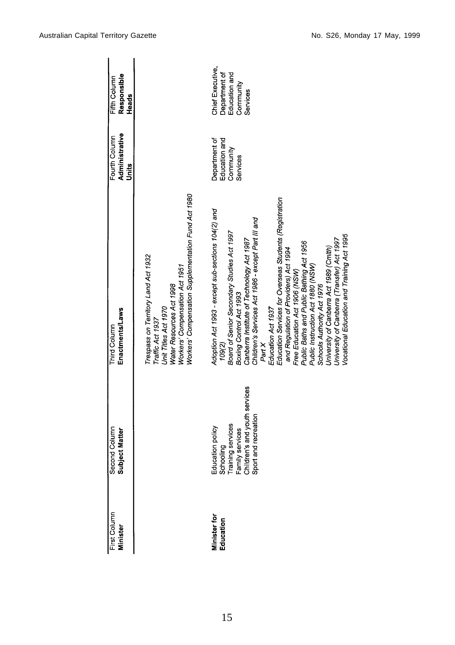| First Column<br>Minister         | Second Column<br>Subject Matter                                                                                                | Enactments/Laws<br>Third Column                                                                                                                                                                                                                                                                                                                                                                                                                                                                                                                                                                                                                                    | Administrative<br>Fourth Column<br>Units                | Responsible<br>Fifth Column<br>Heads                                        |
|----------------------------------|--------------------------------------------------------------------------------------------------------------------------------|--------------------------------------------------------------------------------------------------------------------------------------------------------------------------------------------------------------------------------------------------------------------------------------------------------------------------------------------------------------------------------------------------------------------------------------------------------------------------------------------------------------------------------------------------------------------------------------------------------------------------------------------------------------------|---------------------------------------------------------|-----------------------------------------------------------------------------|
|                                  |                                                                                                                                | Workers' Compensation Supplementation Fund Act 1980<br>Trespass on Territory Land Act 1932<br>Workers' Compensation Act 1951<br>Water Resources Act 1998<br>Unit Titles Act 1970<br>Traffic Act 1937                                                                                                                                                                                                                                                                                                                                                                                                                                                               |                                                         |                                                                             |
| <b>Minister for</b><br>Education | Education policy<br>Schooling<br>Training services<br>Family services<br>Children's and youth services<br>Sport and recreation | Education Services for Overseas Students (Registration<br>Adoption Act 1993 - except sub-sections 104(2) and<br>Children's Services Act 1986 - except Part III and<br>Board of Senior Secondary Studies Act 1997<br>Vocational Education and Training Act 1995<br>University of Canberra (Transfer) Act 1997<br>Canberra Institute of Technology Act 1987<br>Public Baths and Public Bathing Act 1956<br>University of Canberra Act 1989 (Cmlth)<br>and Regulation of Providers) Act 1994<br>Public Instruction Act 1880 (NSW)<br>Free Education Act 1906 (NSW)<br>Schools Authority Act 1976<br>Boxing Control Act 1993<br>Education Act 1937<br>Part X<br>109(2) | Department of<br>Education and<br>Community<br>Services | Chief Executive,<br>Department of<br>Education and<br>Community<br>Services |